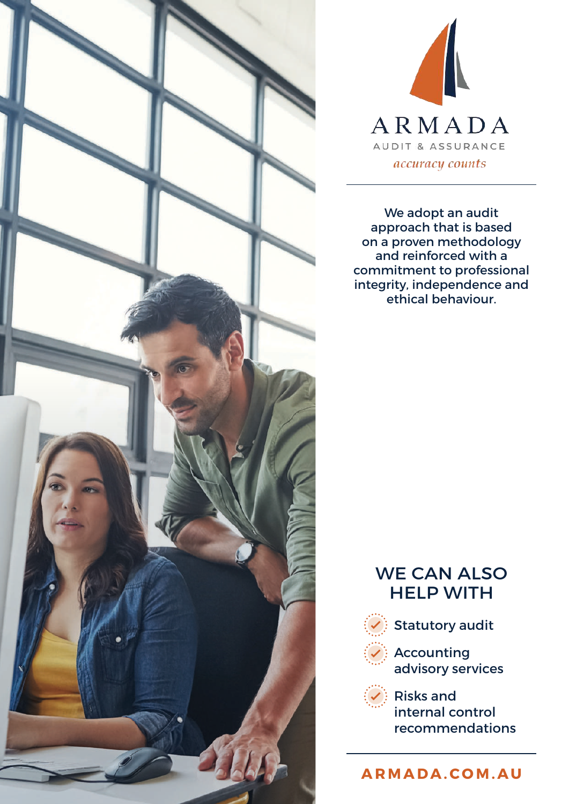



We adopt an audit approach that is based on a proven methodology and reinforced with a commitment to professional integrity, independence and ethical behaviour.

### WE CAN ALSO HELP WITH



 $\Diamond$ : Statutory audit



 $\sqrt{ }$ : Accounting advisory services



 $\langle \overline{\checkmark} \rangle$  Risks and internal control recommendations

**ARMADA.COM.AU**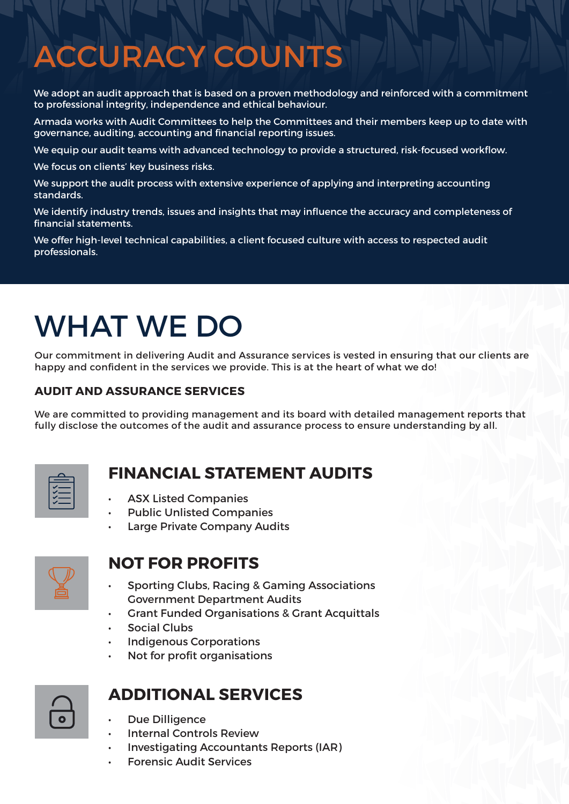# ACCURACY COUNTS

We adopt an audit approach that is based on a proven methodology and reinforced with a commitment to professional integrity, independence and ethical behaviour.

Armada works with Audit Committees to help the Committees and their members keep up to date with governance, auditing, accounting and financial reporting issues.

We equip our audit teams with advanced technology to provide a structured, risk-focused workflow.

We focus on clients' key business risks.

We support the audit process with extensive experience of applying and interpreting accounting standards.

We identify industry trends, issues and insights that may influence the accuracy and completeness of financial statements.

We offer high-level technical capabilities, a client focused culture with access to respected audit professionals.

## WHAT WE DO

Our commitment in delivering Audit and Assurance services is vested in ensuring that our clients are happy and confident in the services we provide. This is at the heart of what we do!

#### **AUDIT AND ASSURANCE SERVICES**

We are committed to providing management and its board with detailed management reports that fully disclose the outcomes of the audit and assurance process to ensure understanding by all.

#### **FINANCIAL STATEMENT AUDITS**

- ASX Listed Companies
- Public Unlisted Companies
- Large Private Company Audits

| -<br>- |
|--------|
| -      |

#### **NOT FOR PROFITS**

- Sporting Clubs, Racing & Gaming Associations Government Department Audits
- Grant Funded Organisations & Grant Acquittals
- **Social Clubs**
- Indigenous Corporations
- Not for profit organisations

#### **ADDITIONAL SERVICES**

- Due Dilligence
- Internal Controls Review
- Investigating Accountants Reports (IAR)
- Forensic Audit Services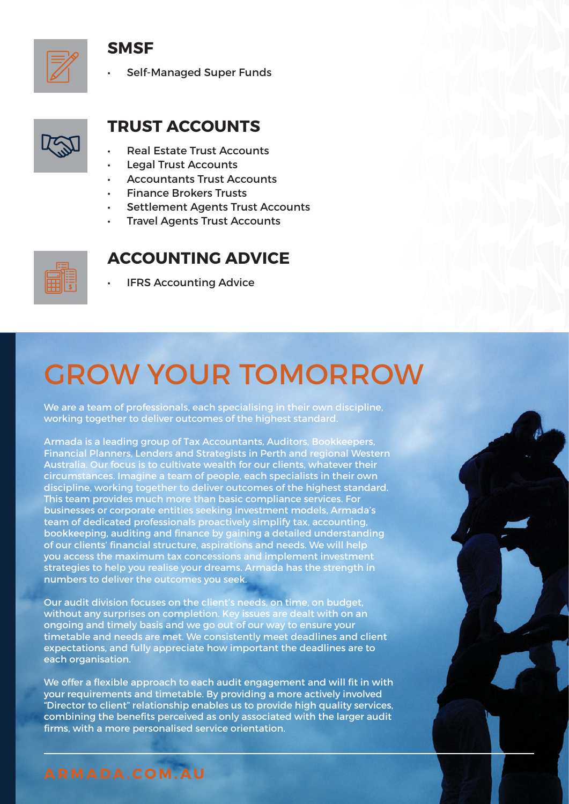#### **SMSF**

• Self-Managed Super Funds



### **TRUST ACCOUNTS**

- Real Estate Trust Accounts
- Legal Trust Accounts
- Accountants Trust Accounts
- Finance Brokers Trusts
- Settlement Agents Trust Accounts
- **Travel Agents Trust Accounts**



#### **ACCOUNTING ADVICE**

**IFRS Accounting Advice** 

### GROW YOUR TOMORROW

We are a team of professionals, each specialising in their own discipline, working together to deliver outcomes of the highest standard.

Armada is a leading group of Tax Accountants, Auditors, Bookkeepers, Financial Planners, Lenders and Strategists in Perth and regional Western Australia. Our focus is to cultivate wealth for our clients, whatever their circumstances. Imagine a team of people, each specialists in their own discipline, working together to deliver outcomes of the highest standard. This team provides much more than basic compliance services. For businesses or corporate entities seeking investment models, Armada's team of dedicated professionals proactively simplify tax, accounting, bookkeeping, auditing and finance by gaining a detailed understanding of our clients' financial structure, aspirations and needs. We will help you access the maximum tax concessions and implement investment strategies to help you realise your dreams. Armada has the strength in numbers to deliver the outcomes you seek.

Our audit division focuses on the client's needs, on time, on budget, without any surprises on completion. Key issues are dealt with on an ongoing and timely basis and we go out of our way to ensure your timetable and needs are met. We consistently meet deadlines and client expectations, and fully appreciate how important the deadlines are to each organisation.

We offer a flexible approach to each audit engagement and will fit in with your requirements and timetable. By providing a more actively involved "Director to client" relationship enables us to provide high quality services, combining the benefits perceived as only associated with the larger audit firms, with a more personalised service orientation.

**ARMADA.COM.AU**